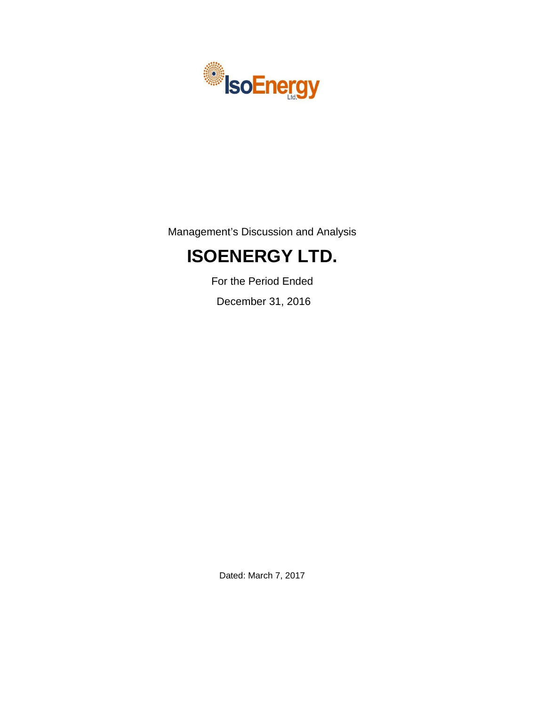

Management's Discussion and Analysis

# **ISOENERGY LTD.**

For the Period Ended

December 31, 2016

Dated: March 7, 2017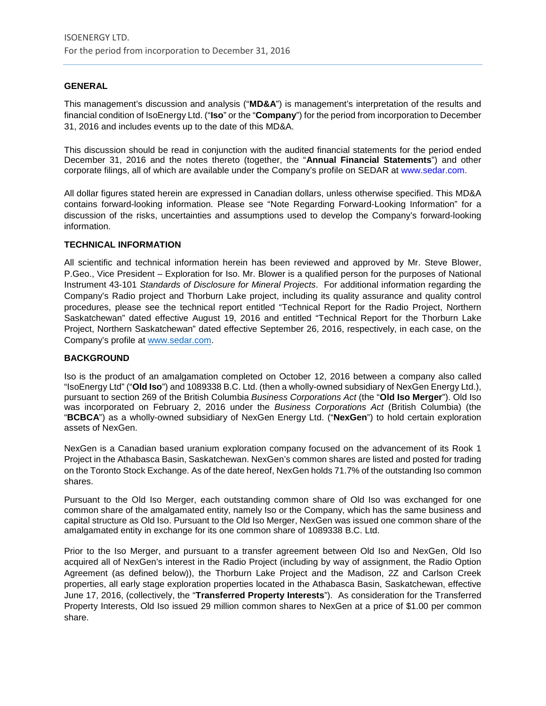# **GENERAL**

This management's discussion and analysis ("**MD&A**") is management's interpretation of the results and financial condition of IsoEnergy Ltd. ("**Iso**" or the "**Company**") for the period from incorporation to December 31, 2016 and includes events up to the date of this MD&A.

This discussion should be read in conjunction with the audited financial statements for the period ended December 31, 2016 and the notes thereto (together, the "**Annual Financial Statements**") and other corporate filings, all of which are available under the Company's profile on SEDAR at www.sedar.com.

All dollar figures stated herein are expressed in Canadian dollars, unless otherwise specified. This MD&A contains forward-looking information. Please see "Note Regarding Forward-Looking Information" for a discussion of the risks, uncertainties and assumptions used to develop the Company's forward-looking information.

#### **TECHNICAL INFORMATION**

All scientific and technical information herein has been reviewed and approved by Mr. Steve Blower, P.Geo., Vice President – Exploration for Iso. Mr. Blower is a qualified person for the purposes of National Instrument 43-101 *Standards of Disclosure for Mineral Projects*. For additional information regarding the Company's Radio project and Thorburn Lake project, including its quality assurance and quality control procedures, please see the technical report entitled "Technical Report for the Radio Project, Northern Saskatchewan" dated effective August 19, 2016 and entitled "Technical Report for the Thorburn Lake Project, Northern Saskatchewan" dated effective September 26, 2016, respectively, in each case, on the Company's profile at [www.sedar.com.](http://www.sedar.com/)

#### **BACKGROUND**

Iso is the product of an amalgamation completed on October 12, 2016 between a company also called "IsoEnergy Ltd" ("**Old Iso**") and 1089338 B.C. Ltd. (then a wholly-owned subsidiary of NexGen Energy Ltd.), pursuant to section 269 of the British Columbia *Business Corporations Act* (the "**Old Iso Merger**"). Old Iso was incorporated on February 2, 2016 under the *Business Corporations Act* (British Columbia) (the "**BCBCA**") as a wholly-owned subsidiary of NexGen Energy Ltd. ("**NexGen**") to hold certain exploration assets of NexGen.

NexGen is a Canadian based uranium exploration company focused on the advancement of its Rook 1 Project in the Athabasca Basin, Saskatchewan. NexGen's common shares are listed and posted for trading on the Toronto Stock Exchange. As of the date hereof, NexGen holds 71.7% of the outstanding Iso common shares.

Pursuant to the Old Iso Merger, each outstanding common share of Old Iso was exchanged for one common share of the amalgamated entity, namely Iso or the Company, which has the same business and capital structure as Old Iso. Pursuant to the Old Iso Merger, NexGen was issued one common share of the amalgamated entity in exchange for its one common share of 1089338 B.C. Ltd.

Prior to the Iso Merger, and pursuant to a transfer agreement between Old Iso and NexGen, Old Iso acquired all of NexGen's interest in the Radio Project (including by way of assignment, the Radio Option Agreement (as defined below)), the Thorburn Lake Project and the Madison, 2Z and Carlson Creek properties, all early stage exploration properties located in the Athabasca Basin, Saskatchewan, effective June 17, 2016, (collectively, the "**Transferred Property Interests**"). As consideration for the Transferred Property Interests, Old Iso issued 29 million common shares to NexGen at a price of \$1.00 per common share.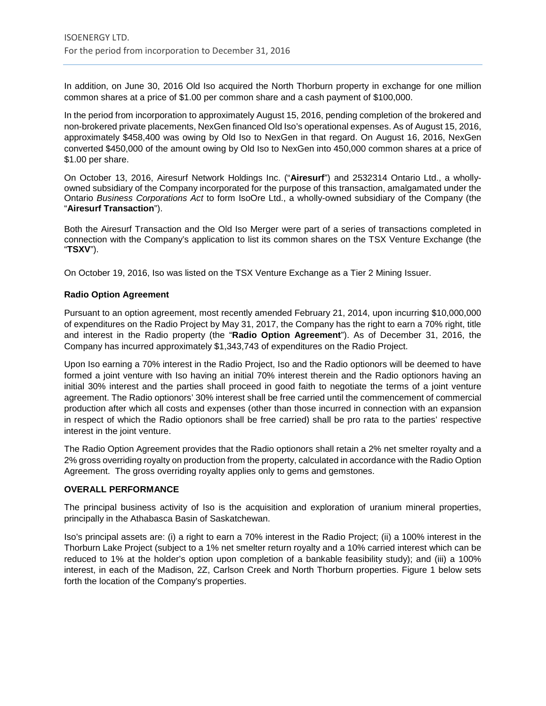In addition, on June 30, 2016 Old Iso acquired the North Thorburn property in exchange for one million common shares at a price of \$1.00 per common share and a cash payment of \$100,000.

In the period from incorporation to approximately August 15, 2016, pending completion of the brokered and non-brokered private placements, NexGen financed Old Iso's operational expenses. As of August 15, 2016, approximately \$458,400 was owing by Old Iso to NexGen in that regard. On August 16, 2016, NexGen converted \$450,000 of the amount owing by Old Iso to NexGen into 450,000 common shares at a price of \$1.00 per share.

On October 13, 2016, Airesurf Network Holdings Inc. ("**Airesurf**") and 2532314 Ontario Ltd., a whollyowned subsidiary of the Company incorporated for the purpose of this transaction, amalgamated under the Ontario *Business Corporations Act* to form IsoOre Ltd., a wholly-owned subsidiary of the Company (the "**Airesurf Transaction**").

Both the Airesurf Transaction and the Old Iso Merger were part of a series of transactions completed in connection with the Company's application to list its common shares on the TSX Venture Exchange (the "**TSXV**").

On October 19, 2016, Iso was listed on the TSX Venture Exchange as a Tier 2 Mining Issuer.

# **Radio Option Agreement**

Pursuant to an option agreement, most recently amended February 21, 2014, upon incurring \$10,000,000 of expenditures on the Radio Project by May 31, 2017, the Company has the right to earn a 70% right, title and interest in the Radio property (the "**Radio Option Agreement**"). As of December 31, 2016, the Company has incurred approximately \$1,343,743 of expenditures on the Radio Project.

Upon Iso earning a 70% interest in the Radio Project, Iso and the Radio optionors will be deemed to have formed a joint venture with Iso having an initial 70% interest therein and the Radio optionors having an initial 30% interest and the parties shall proceed in good faith to negotiate the terms of a joint venture agreement. The Radio optionors' 30% interest shall be free carried until the commencement of commercial production after which all costs and expenses (other than those incurred in connection with an expansion in respect of which the Radio optionors shall be free carried) shall be pro rata to the parties' respective interest in the joint venture.

The Radio Option Agreement provides that the Radio optionors shall retain a 2% net smelter royalty and a 2% gross overriding royalty on production from the property, calculated in accordance with the Radio Option Agreement. The gross overriding royalty applies only to gems and gemstones.

#### **OVERALL PERFORMANCE**

The principal business activity of Iso is the acquisition and exploration of uranium mineral properties, principally in the Athabasca Basin of Saskatchewan.

Iso's principal assets are: (i) a right to earn a 70% interest in the Radio Project; (ii) a 100% interest in the Thorburn Lake Project (subject to a 1% net smelter return royalty and a 10% carried interest which can be reduced to 1% at the holder's option upon completion of a bankable feasibility study); and (iii) a 100% interest, in each of the Madison, 2Z, Carlson Creek and North Thorburn properties. Figure 1 below sets forth the location of the Company's properties.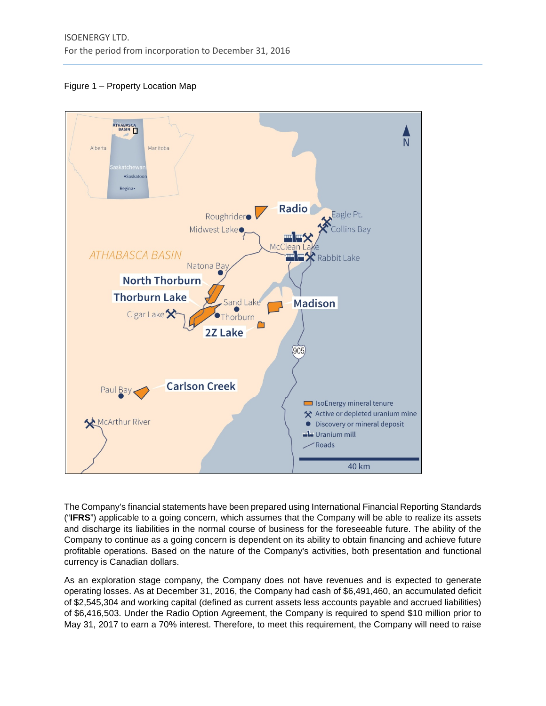



The Company's financial statements have been prepared using International Financial Reporting Standards ("**IFRS**") applicable to a going concern, which assumes that the Company will be able to realize its assets and discharge its liabilities in the normal course of business for the foreseeable future. The ability of the Company to continue as a going concern is dependent on its ability to obtain financing and achieve future profitable operations. Based on the nature of the Company's activities, both presentation and functional currency is Canadian dollars.

As an exploration stage company, the Company does not have revenues and is expected to generate operating losses. As at December 31, 2016, the Company had cash of \$6,491,460, an accumulated deficit of \$2,545,304 and working capital (defined as current assets less accounts payable and accrued liabilities) of \$6,416,503. Under the Radio Option Agreement, the Company is required to spend \$10 million prior to May 31, 2017 to earn a 70% interest. Therefore, to meet this requirement, the Company will need to raise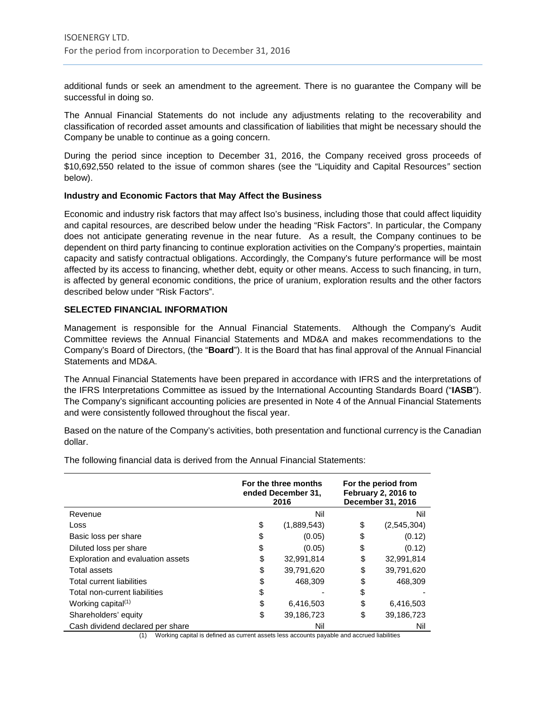additional funds or seek an amendment to the agreement. There is no guarantee the Company will be successful in doing so.

The Annual Financial Statements do not include any adjustments relating to the recoverability and classification of recorded asset amounts and classification of liabilities that might be necessary should the Company be unable to continue as a going concern.

During the period since inception to December 31, 2016, the Company received gross proceeds of \$10,692,550 related to the issue of common shares (see the "Liquidity and Capital Resources*"* section below).

# **Industry and Economic Factors that May Affect the Business**

Economic and industry risk factors that may affect Iso's business, including those that could affect liquidity and capital resources, are described below under the heading "Risk Factors". In particular, the Company does not anticipate generating revenue in the near future. As a result, the Company continues to be dependent on third party financing to continue exploration activities on the Company's properties, maintain capacity and satisfy contractual obligations. Accordingly, the Company's future performance will be most affected by its access to financing, whether debt, equity or other means. Access to such financing, in turn, is affected by general economic conditions, the price of uranium, exploration results and the other factors described below under "Risk Factors".

# **SELECTED FINANCIAL INFORMATION**

Management is responsible for the Annual Financial Statements. Although the Company's Audit Committee reviews the Annual Financial Statements and MD&A and makes recommendations to the Company's Board of Directors, (the "**Board**"). It is the Board that has final approval of the Annual Financial Statements and MD&A.

The Annual Financial Statements have been prepared in accordance with IFRS and the interpretations of the IFRS Interpretations Committee as issued by the International Accounting Standards Board ("**IASB**"). The Company's significant accounting policies are presented in Note 4 of the Annual Financial Statements and were consistently followed throughout the fiscal year.

Based on the nature of the Company's activities, both presentation and functional currency is the Canadian dollar.

The following financial data is derived from the Annual Financial Statements:

|                                   | For the three months<br>ended December 31,<br>2016 | For the period from<br>February 2, 2016 to<br>December 31, 2016 |
|-----------------------------------|----------------------------------------------------|-----------------------------------------------------------------|
| Revenue                           | Nil                                                | Nil                                                             |
| Loss                              | \$<br>(1,889,543)                                  | \$<br>(2,545,304)                                               |
| Basic loss per share              | \$<br>(0.05)                                       | \$<br>(0.12)                                                    |
| Diluted loss per share            | \$<br>(0.05)                                       | \$<br>(0.12)                                                    |
| Exploration and evaluation assets | \$<br>32,991,814                                   | \$<br>32,991,814                                                |
| <b>Total assets</b>               | \$<br>39.791.620                                   | \$<br>39.791.620                                                |
| Total current liabilities         | \$<br>468,309                                      | \$<br>468,309                                                   |
| Total non-current liabilities     | \$                                                 | \$                                                              |
| Working capital <sup>(1)</sup>    | \$<br>6,416,503                                    | \$<br>6,416,503                                                 |
| Shareholders' equity              | \$<br>39,186,723                                   | \$<br>39,186,723                                                |
| Cash dividend declared per share  | Nil                                                | Nil                                                             |

(1) Working capital is defined as current assets less accounts payable and accrued liabilities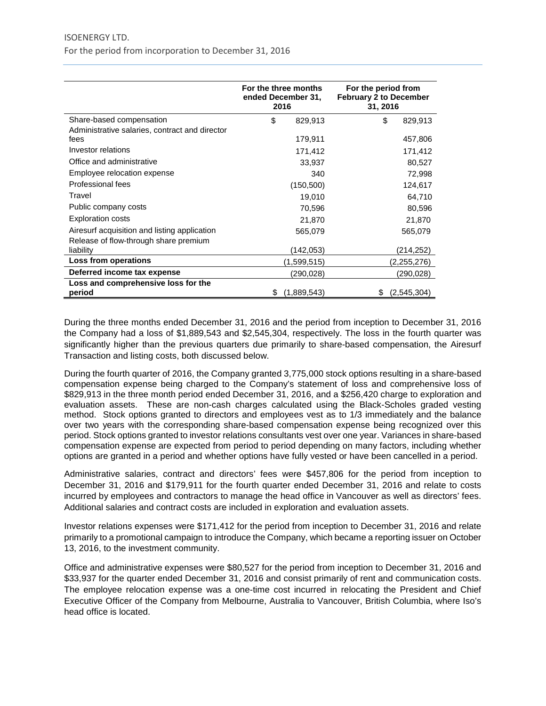|                                                | For the three months<br>ended December 31,<br>2016 |             | For the period from<br><b>February 2 to December</b><br>31, 2016 |             |  |
|------------------------------------------------|----------------------------------------------------|-------------|------------------------------------------------------------------|-------------|--|
| Share-based compensation                       | \$                                                 | 829,913     | \$                                                               | 829,913     |  |
| Administrative salaries, contract and director |                                                    |             |                                                                  |             |  |
| fees                                           |                                                    | 179,911     |                                                                  | 457,806     |  |
| Investor relations                             |                                                    | 171,412     |                                                                  | 171,412     |  |
| Office and administrative                      |                                                    | 33,937      |                                                                  | 80,527      |  |
| Employee relocation expense                    |                                                    | 340         |                                                                  | 72,998      |  |
| Professional fees                              |                                                    | (150, 500)  |                                                                  | 124,617     |  |
| Travel                                         |                                                    | 19,010      |                                                                  | 64,710      |  |
| Public company costs                           |                                                    | 70,596      |                                                                  | 80,596      |  |
| <b>Exploration costs</b>                       |                                                    | 21,870      |                                                                  | 21,870      |  |
| Airesurf acquisition and listing application   |                                                    | 565,079     |                                                                  | 565,079     |  |
| Release of flow-through share premium          |                                                    |             |                                                                  |             |  |
| liability                                      |                                                    | (142,053)   |                                                                  | (214,252)   |  |
| Loss from operations                           |                                                    | (1,599,515) |                                                                  | (2,255,276) |  |
| Deferred income tax expense                    |                                                    | (290,028)   |                                                                  | (290,028)   |  |
| Loss and comprehensive loss for the            |                                                    |             |                                                                  |             |  |
| period                                         | S                                                  | (1,889,543) |                                                                  | (2,545,304) |  |

During the three months ended December 31, 2016 and the period from inception to December 31, 2016 the Company had a loss of \$1,889,543 and \$2,545,304, respectively. The loss in the fourth quarter was significantly higher than the previous quarters due primarily to share-based compensation, the Airesurf Transaction and listing costs, both discussed below.

During the fourth quarter of 2016, the Company granted 3,775,000 stock options resulting in a share-based compensation expense being charged to the Company's statement of loss and comprehensive loss of \$829,913 in the three month period ended December 31, 2016, and a \$256,420 charge to exploration and evaluation assets. These are non-cash charges calculated using the Black-Scholes graded vesting method. Stock options granted to directors and employees vest as to 1/3 immediately and the balance over two years with the corresponding share-based compensation expense being recognized over this period. Stock options granted to investor relations consultants vest over one year. Variances in share-based compensation expense are expected from period to period depending on many factors, including whether options are granted in a period and whether options have fully vested or have been cancelled in a period.

Administrative salaries, contract and directors' fees were \$457,806 for the period from inception to December 31, 2016 and \$179,911 for the fourth quarter ended December 31, 2016 and relate to costs incurred by employees and contractors to manage the head office in Vancouver as well as directors' fees. Additional salaries and contract costs are included in exploration and evaluation assets.

Investor relations expenses were \$171,412 for the period from inception to December 31, 2016 and relate primarily to a promotional campaign to introduce the Company, which became a reporting issuer on October 13, 2016, to the investment community.

Office and administrative expenses were \$80,527 for the period from inception to December 31, 2016 and \$33,937 for the quarter ended December 31, 2016 and consist primarily of rent and communication costs. The employee relocation expense was a one-time cost incurred in relocating the President and Chief Executive Officer of the Company from Melbourne, Australia to Vancouver, British Columbia, where Iso's head office is located.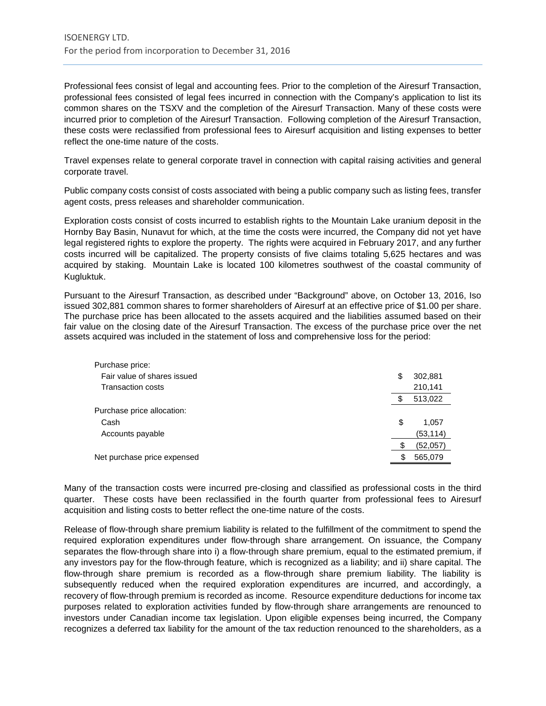Professional fees consist of legal and accounting fees. Prior to the completion of the Airesurf Transaction, professional fees consisted of legal fees incurred in connection with the Company's application to list its common shares on the TSXV and the completion of the Airesurf Transaction. Many of these costs were incurred prior to completion of the Airesurf Transaction. Following completion of the Airesurf Transaction, these costs were reclassified from professional fees to Airesurf acquisition and listing expenses to better reflect the one-time nature of the costs.

Travel expenses relate to general corporate travel in connection with capital raising activities and general corporate travel.

Public company costs consist of costs associated with being a public company such as listing fees, transfer agent costs, press releases and shareholder communication.

Exploration costs consist of costs incurred to establish rights to the Mountain Lake uranium deposit in the Hornby Bay Basin, Nunavut for which, at the time the costs were incurred, the Company did not yet have legal registered rights to explore the property. The rights were acquired in February 2017, and any further costs incurred will be capitalized. The property consists of five claims totaling 5,625 hectares and was acquired by staking. Mountain Lake is located 100 kilometres southwest of the coastal community of Kugluktuk.

Pursuant to the Airesurf Transaction, as described under "Background" above, on October 13, 2016, Iso issued 302,881 common shares to former shareholders of Airesurf at an effective price of \$1.00 per share. The purchase price has been allocated to the assets acquired and the liabilities assumed based on their fair value on the closing date of the Airesurf Transaction. The excess of the purchase price over the net assets acquired was included in the statement of loss and comprehensive loss for the period:

| Purchase price:             |               |
|-----------------------------|---------------|
| Fair value of shares issued | \$<br>302,881 |
| <b>Transaction costs</b>    | 210,141       |
|                             | \$<br>513,022 |
| Purchase price allocation:  |               |
| Cash                        | \$<br>1.057   |
| Accounts payable            | (53,114)      |
|                             | (52,057)      |
| Net purchase price expensed | 565,079       |
|                             |               |

Many of the transaction costs were incurred pre-closing and classified as professional costs in the third quarter. These costs have been reclassified in the fourth quarter from professional fees to Airesurf acquisition and listing costs to better reflect the one-time nature of the costs.

Release of flow-through share premium liability is related to the fulfillment of the commitment to spend the required exploration expenditures under flow-through share arrangement. On issuance, the Company separates the flow-through share into i) a flow-through share premium, equal to the estimated premium, if any investors pay for the flow-through feature, which is recognized as a liability; and ii) share capital. The flow-through share premium is recorded as a flow-through share premium liability. The liability is subsequently reduced when the required exploration expenditures are incurred, and accordingly, a recovery of flow-through premium is recorded as income. Resource expenditure deductions for income tax purposes related to exploration activities funded by flow-through share arrangements are renounced to investors under Canadian income tax legislation. Upon eligible expenses being incurred, the Company recognizes a deferred tax liability for the amount of the tax reduction renounced to the shareholders, as a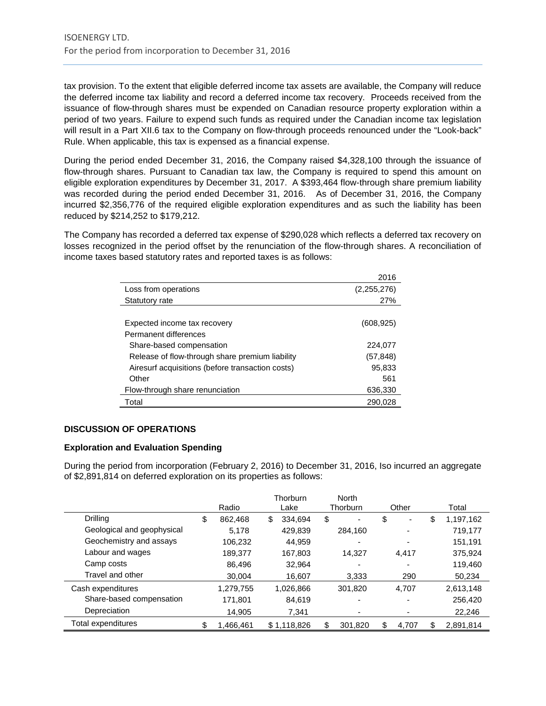tax provision. To the extent that eligible deferred income tax assets are available, the Company will reduce the deferred income tax liability and record a deferred income tax recovery. Proceeds received from the issuance of flow-through shares must be expended on Canadian resource property exploration within a period of two years. Failure to expend such funds as required under the Canadian income tax legislation will result in a Part XII.6 tax to the Company on flow-through proceeds renounced under the "Look-back" Rule. When applicable, this tax is expensed as a financial expense.

During the period ended December 31, 2016, the Company raised \$4,328,100 through the issuance of flow-through shares. Pursuant to Canadian tax law, the Company is required to spend this amount on eligible exploration expenditures by December 31, 2017. A \$393,464 flow-through share premium liability was recorded during the period ended December 31, 2016. As of December 31, 2016, the Company incurred \$2,356,776 of the required eligible exploration expenditures and as such the liability has been reduced by \$214,252 to \$179,212.

The Company has recorded a deferred tax expense of \$290,028 which reflects a deferred tax recovery on losses recognized in the period offset by the renunciation of the flow-through shares. A reconciliation of income taxes based statutory rates and reported taxes is as follows:

|                                                  | 2016        |
|--------------------------------------------------|-------------|
| Loss from operations                             | (2,255,276) |
| Statutory rate                                   | 27%         |
|                                                  |             |
| Expected income tax recovery                     | (608, 925)  |
| Permanent differences                            |             |
| Share-based compensation                         | 224,077     |
| Release of flow-through share premium liability  | (57, 848)   |
| Airesurf acquisitions (before transaction costs) | 95,833      |
| Other                                            | 561         |
| Flow-through share renunciation                  | 636,330     |
| Total                                            | 290.028     |

# **DISCUSSION OF OPERATIONS**

#### **Exploration and Evaluation Spending**

During the period from incorporation (February 2, 2016) to December 31, 2016, Iso incurred an aggregate of \$2,891,814 on deferred exploration on its properties as follows:

|                            |                 |      | Thorburn    | <b>North</b> |         |       |                          |                 |
|----------------------------|-----------------|------|-------------|--------------|---------|-------|--------------------------|-----------------|
|                            | Radio           | Lake |             | Thorburn     |         | Other |                          | Total           |
| <b>Drilling</b>            | \$<br>862.468   | \$   | 334.694     | \$           |         | \$    | ۰                        | \$<br>1,197,162 |
| Geological and geophysical | 5.178           |      | 429,839     |              | 284,160 |       | -                        | 719,177         |
| Geochemistry and assays    | 106,232         |      | 44,959      |              | -       |       | $\overline{\phantom{0}}$ | 151,191         |
| Labour and wages           | 189,377         |      | 167,803     |              | 14,327  |       | 4.417                    | 375,924         |
| Camp costs                 | 86.496          |      | 32.964      |              |         |       | $\overline{\phantom{0}}$ | 119,460         |
| Travel and other           | 30.004          |      | 16,607      |              | 3,333   |       | 290                      | 50,234          |
| Cash expenditures          | 1,279,755       |      | 1,026,866   |              | 301,820 |       | 4.707                    | 2,613,148       |
| Share-based compensation   | 171,801         |      | 84,619      |              | -       |       |                          | 256,420         |
| Depreciation               | 14.905          |      | 7,341       |              | ۰       |       | $\overline{\phantom{a}}$ | 22,246          |
| Total expenditures         | \$<br>1,466,461 |      | \$1,118,826 | \$           | 301,820 | \$    | 4,707                    | \$<br>2,891,814 |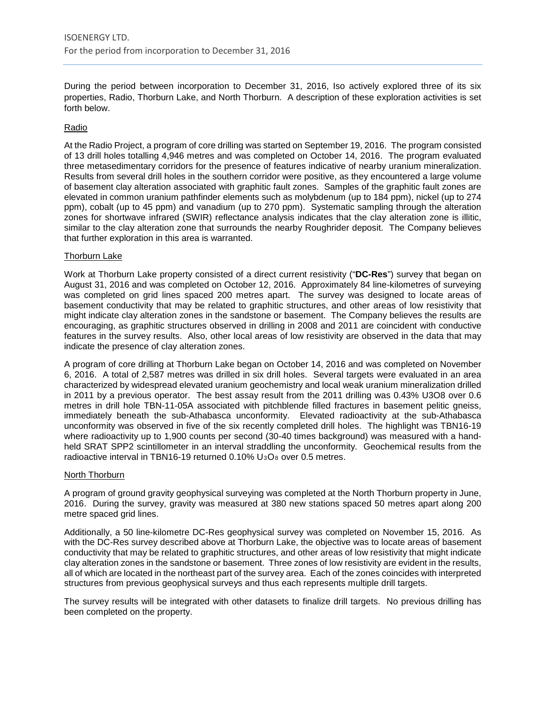During the period between incorporation to December 31, 2016, Iso actively explored three of its six properties, Radio, Thorburn Lake, and North Thorburn. A description of these exploration activities is set forth below.

#### Radio

At the Radio Project, a program of core drilling was started on September 19, 2016. The program consisted of 13 drill holes totalling 4,946 metres and was completed on October 14, 2016. The program evaluated three metasedimentary corridors for the presence of features indicative of nearby uranium mineralization. Results from several drill holes in the southern corridor were positive, as they encountered a large volume of basement clay alteration associated with graphitic fault zones. Samples of the graphitic fault zones are elevated in common uranium pathfinder elements such as molybdenum (up to 184 ppm), nickel (up to 274 ppm), cobalt (up to 45 ppm) and vanadium (up to 270 ppm). Systematic sampling through the alteration zones for shortwave infrared (SWIR) reflectance analysis indicates that the clay alteration zone is illitic, similar to the clay alteration zone that surrounds the nearby Roughrider deposit. The Company believes that further exploration in this area is warranted.

# Thorburn Lake

Work at Thorburn Lake property consisted of a direct current resistivity ("**DC-Res**") survey that began on August 31, 2016 and was completed on October 12, 2016. Approximately 84 line-kilometres of surveying was completed on grid lines spaced 200 metres apart. The survey was designed to locate areas of basement conductivity that may be related to graphitic structures, and other areas of low resistivity that might indicate clay alteration zones in the sandstone or basement. The Company believes the results are encouraging, as graphitic structures observed in drilling in 2008 and 2011 are coincident with conductive features in the survey results. Also, other local areas of low resistivity are observed in the data that may indicate the presence of clay alteration zones.

A program of core drilling at Thorburn Lake began on October 14, 2016 and was completed on November 6, 2016. A total of 2,587 metres was drilled in six drill holes. Several targets were evaluated in an area characterized by widespread elevated uranium geochemistry and local weak uranium mineralization drilled in 2011 by a previous operator. The best assay result from the 2011 drilling was 0.43% U3O8 over 0.6 metres in drill hole TBN-11-05A associated with pitchblende filled fractures in basement pelitic gneiss, immediately beneath the sub-Athabasca unconformity. Elevated radioactivity at the sub-Athabasca unconformity was observed in five of the six recently completed drill holes. The highlight was TBN16-19 where radioactivity up to 1,900 counts per second (30-40 times background) was measured with a handheld SRAT SPP2 scintillometer in an interval straddling the unconformity. Geochemical results from the radioactive interval in TBN16-19 returned  $0.10\%$  U<sub>3</sub>O<sub>8</sub> over 0.5 metres.

#### North Thorburn

A program of ground gravity geophysical surveying was completed at the North Thorburn property in June, 2016. During the survey, gravity was measured at 380 new stations spaced 50 metres apart along 200 metre spaced grid lines.

Additionally, a 50 line-kilometre DC-Res geophysical survey was completed on November 15, 2016. As with the DC-Res survey described above at Thorburn Lake, the objective was to locate areas of basement conductivity that may be related to graphitic structures, and other areas of low resistivity that might indicate clay alteration zones in the sandstone or basement. Three zones of low resistivity are evident in the results, all of which are located in the northeast part of the survey area. Each of the zones coincides with interpreted structures from previous geophysical surveys and thus each represents multiple drill targets.

The survey results will be integrated with other datasets to finalize drill targets. No previous drilling has been completed on the property.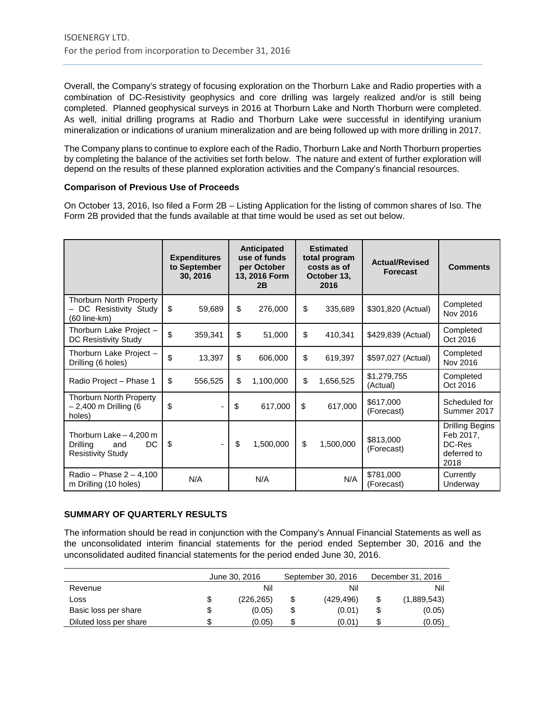Overall, the Company's strategy of focusing exploration on the Thorburn Lake and Radio properties with a combination of DC-Resistivity geophysics and core drilling was largely realized and/or is still being completed. Planned geophysical surveys in 2016 at Thorburn Lake and North Thorburn were completed. As well, initial drilling programs at Radio and Thorburn Lake were successful in identifying uranium mineralization or indications of uranium mineralization and are being followed up with more drilling in 2017.

The Company plans to continue to explore each of the Radio, Thorburn Lake and North Thorburn properties by completing the balance of the activities set forth below. The nature and extent of further exploration will depend on the results of these planned exploration activities and the Company's financial resources.

# **Comparison of Previous Use of Proceeds**

On October 13, 2016, Iso filed a Form 2B – Listing Application for the listing of common shares of Iso. The Form 2B provided that the funds available at that time would be used as set out below.

|                                                                              | <b>Expenditures</b><br>to September<br>30, 2016 | <b>Anticipated</b><br>use of funds<br>per October<br>13, 2016 Form<br>2B | <b>Estimated</b><br>total program<br>costs as of<br>October 13,<br>2016 |           | <b>Actual/Revised</b><br><b>Forecast</b> | <b>Comments</b>                                                      |
|------------------------------------------------------------------------------|-------------------------------------------------|--------------------------------------------------------------------------|-------------------------------------------------------------------------|-----------|------------------------------------------|----------------------------------------------------------------------|
| Thorburn North Property<br>- DC Resistivity Study<br>(60 line-km)            | \$<br>59,689                                    | \$<br>276,000                                                            | \$                                                                      | 335,689   | \$301,820 (Actual)                       | Completed<br>Nov 2016                                                |
| Thorburn Lake Project -<br>DC Resistivity Study                              | \$<br>359,341                                   | \$<br>51,000                                                             | \$                                                                      | 410,341   | \$429,839 (Actual)                       | Completed<br>Oct 2016                                                |
| Thorburn Lake Project -<br>Drilling (6 holes)                                | \$<br>13,397                                    | \$<br>606,000                                                            | \$                                                                      | 619,397   | \$597,027 (Actual)                       | Completed<br>Nov 2016                                                |
| Radio Project - Phase 1                                                      | \$<br>556,525                                   | \$<br>1,100,000                                                          | \$                                                                      | 1,656,525 | \$1,279,755<br>(Actual)                  | Completed<br>Oct 2016                                                |
| <b>Thorburn North Property</b><br>- 2,400 m Drilling (6<br>holes)            | \$<br>$\overline{\phantom{0}}$                  | \$<br>617,000                                                            | \$                                                                      | 617,000   | \$617,000<br>(Forecast)                  | Scheduled for<br>Summer 2017                                         |
| Thorburn Lake - 4,200 m<br>DC<br>Drilling<br>and<br><b>Resistivity Study</b> | \$                                              | \$<br>1,500,000                                                          | \$                                                                      | 1,500,000 | \$813,000<br>(Forecast)                  | <b>Drilling Begins</b><br>Feb 2017,<br>DC-Res<br>deferred to<br>2018 |
| Radio – Phase $2 - 4,100$<br>m Drilling (10 holes)                           | N/A                                             | N/A                                                                      |                                                                         | N/A       | \$781,000<br>(Forecast)                  | Currently<br>Underway                                                |

# **SUMMARY OF QUARTERLY RESULTS**

The information should be read in conjunction with the Company's Annual Financial Statements as well as the unconsolidated interim financial statements for the period ended September 30, 2016 and the unconsolidated audited financial statements for the period ended June 30, 2016.

|                        | June 30, 2016    |    | September 30, 2016 | December 31, 2016 |             |  |
|------------------------|------------------|----|--------------------|-------------------|-------------|--|
| Revenue                | Nil              |    | Nil                |                   | Nil         |  |
| Loss                   | \$<br>(226, 265) | \$ | (429.496)          |                   | (1,889,543) |  |
| Basic loss per share   | \$<br>(0.05)     | \$ | (0.01)             |                   | (0.05)      |  |
| Diluted loss per share | \$<br>(0.05)     | \$ | (0.01)             |                   | (0.05)      |  |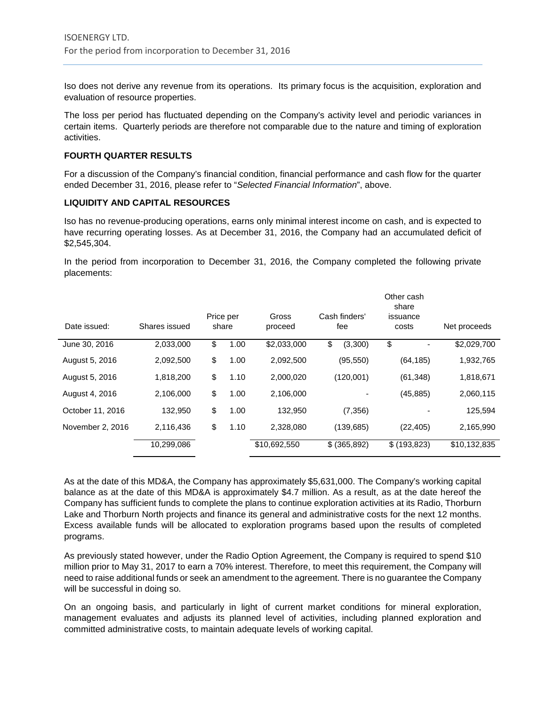Iso does not derive any revenue from its operations. Its primary focus is the acquisition, exploration and evaluation of resource properties.

The loss per period has fluctuated depending on the Company's activity level and periodic variances in certain items. Quarterly periods are therefore not comparable due to the nature and timing of exploration activities.

#### **FOURTH QUARTER RESULTS**

For a discussion of the Company's financial condition, financial performance and cash flow for the quarter ended December 31, 2016, please refer to "*Selected Financial Information*", above.

# **LIQUIDITY AND CAPITAL RESOURCES**

Iso has no revenue-producing operations, earns only minimal interest income on cash, and is expected to have recurring operating losses. As at December 31, 2016, the Company had an accumulated deficit of \$2,545,304.

In the period from incorporation to December 31, 2016, the Company completed the following private placements:

| Date issued:     | Shares issued | Price per<br>share | Gross<br>proceed | Cash finders'<br>fee |                | Other cash<br>share<br>issuance<br>costs | Net proceeds |              |
|------------------|---------------|--------------------|------------------|----------------------|----------------|------------------------------------------|--------------|--------------|
| June 30, 2016    | 2,033,000     | \$<br>1.00         | \$2,033,000      | \$                   | (3,300)        | \$                                       |              | \$2,029,700  |
| August 5, 2016   | 2,092,500     | \$<br>1.00         | 2,092,500        |                      | (95, 550)      |                                          | (64, 185)    | 1,932,765    |
| August 5, 2016   | 1,818,200     | \$<br>1.10         | 2,000,020        |                      | (120,001)      |                                          | (61, 348)    | 1,818,671    |
| August 4, 2016   | 2,106,000     | \$<br>1.00         | 2,106,000        |                      | $\overline{a}$ |                                          | (45, 885)    | 2,060,115    |
| October 11, 2016 | 132.950       | \$<br>1.00         | 132,950          |                      | (7, 356)       |                                          |              | 125,594      |
| November 2, 2016 | 2,116,436     | \$<br>1.10         | 2,328,080        |                      | (139,685)      |                                          | (22, 405)    | 2,165,990    |
|                  | 10,299,086    |                    | \$10,692,550     |                      | \$ (365,892)   | \$ (193, 823)                            |              | \$10,132,835 |

As at the date of this MD&A, the Company has approximately \$5,631,000. The Company's working capital balance as at the date of this MD&A is approximately \$4.7 million. As a result, as at the date hereof the Company has sufficient funds to complete the plans to continue exploration activities at its Radio, Thorburn Lake and Thorburn North projects and finance its general and administrative costs for the next 12 months. Excess available funds will be allocated to exploration programs based upon the results of completed programs.

As previously stated however, under the Radio Option Agreement, the Company is required to spend \$10 million prior to May 31, 2017 to earn a 70% interest. Therefore, to meet this requirement, the Company will need to raise additional funds or seek an amendment to the agreement. There is no guarantee the Company will be successful in doing so.

On an ongoing basis, and particularly in light of current market conditions for mineral exploration, management evaluates and adjusts its planned level of activities, including planned exploration and committed administrative costs, to maintain adequate levels of working capital.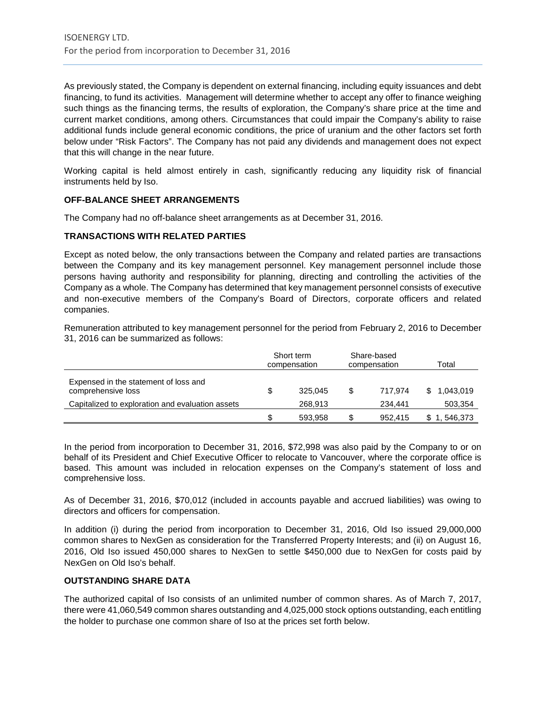As previously stated, the Company is dependent on external financing, including equity issuances and debt financing, to fund its activities. Management will determine whether to accept any offer to finance weighing such things as the financing terms, the results of exploration, the Company's share price at the time and current market conditions, among others. Circumstances that could impair the Company's ability to raise additional funds include general economic conditions, the price of uranium and the other factors set forth below under "Risk Factors". The Company has not paid any dividends and management does not expect that this will change in the near future.

Working capital is held almost entirely in cash, significantly reducing any liquidity risk of financial instruments held by Iso.

# **OFF-BALANCE SHEET ARRANGEMENTS**

The Company had no off-balance sheet arrangements as at December 31, 2016.

# **TRANSACTIONS WITH RELATED PARTIES**

Except as noted below, the only transactions between the Company and related parties are transactions between the Company and its key management personnel. Key management personnel include those persons having authority and responsibility for planning, directing and controlling the activities of the Company as a whole. The Company has determined that key management personnel consists of executive and non-executive members of the Company's Board of Directors, corporate officers and related companies.

Remuneration attributed to key management personnel for the period from February 2, 2016 to December 31, 2016 can be summarized as follows:

|                                                             | Short term<br>compensation |         |     | Share-based<br>compensation | Total     |
|-------------------------------------------------------------|----------------------------|---------|-----|-----------------------------|-----------|
| Expensed in the statement of loss and<br>comprehensive loss | S.                         | 325.045 | -SS | 717.974                     | 1,043,019 |
| Capitalized to exploration and evaluation assets            |                            | 268.913 |     | 234.441                     | 503,354   |
|                                                             | \$                         | 593.958 |     | 952.415                     | 546,373   |

In the period from incorporation to December 31, 2016, \$72,998 was also paid by the Company to or on behalf of its President and Chief Executive Officer to relocate to Vancouver, where the corporate office is based. This amount was included in relocation expenses on the Company's statement of loss and comprehensive loss.

As of December 31, 2016, \$70,012 (included in accounts payable and accrued liabilities) was owing to directors and officers for compensation.

In addition (i) during the period from incorporation to December 31, 2016, Old Iso issued 29,000,000 common shares to NexGen as consideration for the Transferred Property Interests; and (ii) on August 16, 2016, Old Iso issued 450,000 shares to NexGen to settle \$450,000 due to NexGen for costs paid by NexGen on Old Iso's behalf.

# **OUTSTANDING SHARE DATA**

The authorized capital of Iso consists of an unlimited number of common shares. As of March 7, 2017, there were 41,060,549 common shares outstanding and 4,025,000 stock options outstanding, each entitling the holder to purchase one common share of Iso at the prices set forth below.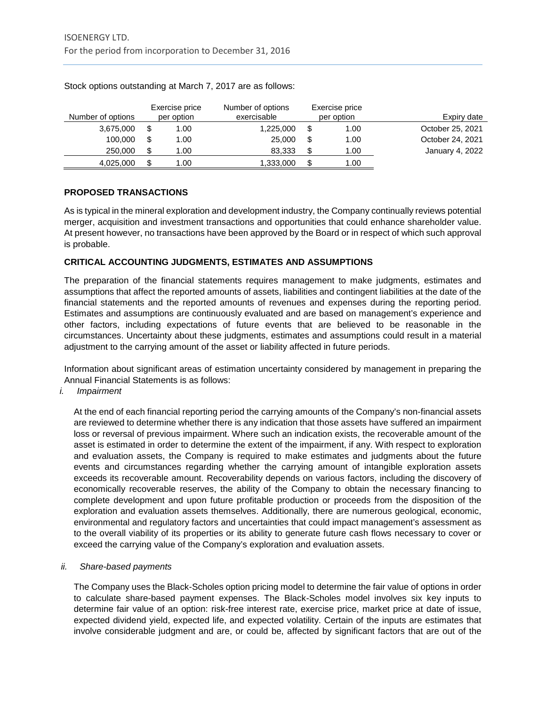| Expiry date      | Exercise price<br>per option |    | Number of options<br>exercisable | Exercise price<br>per option | Number of options |
|------------------|------------------------------|----|----------------------------------|------------------------------|-------------------|
| October 25, 2021 | 1.00                         | \$ | 1,225,000                        | 1.00                         | 3,675,000         |
| October 24, 2021 | 1.00                         | -S | 25,000                           | 1.00                         | 100.000           |
| January 4, 2022  | 1.00                         | £. | 83.333                           | 1.00                         | 250,000           |
|                  | 1.00                         |    | 1,333,000                        | 1.00                         | 4,025,000         |

Stock options outstanding at March 7, 2017 are as follows:

# **PROPOSED TRANSACTIONS**

As is typical in the mineral exploration and development industry, the Company continually reviews potential merger, acquisition and investment transactions and opportunities that could enhance shareholder value. At present however, no transactions have been approved by the Board or in respect of which such approval is probable.

# **CRITICAL ACCOUNTING JUDGMENTS, ESTIMATES AND ASSUMPTIONS**

The preparation of the financial statements requires management to make judgments, estimates and assumptions that affect the reported amounts of assets, liabilities and contingent liabilities at the date of the financial statements and the reported amounts of revenues and expenses during the reporting period. Estimates and assumptions are continuously evaluated and are based on management's experience and other factors, including expectations of future events that are believed to be reasonable in the circumstances. Uncertainty about these judgments, estimates and assumptions could result in a material adjustment to the carrying amount of the asset or liability affected in future periods.

Information about significant areas of estimation uncertainty considered by management in preparing the Annual Financial Statements is as follows:

#### *i. Impairment*

At the end of each financial reporting period the carrying amounts of the Company's non-financial assets are reviewed to determine whether there is any indication that those assets have suffered an impairment loss or reversal of previous impairment. Where such an indication exists, the recoverable amount of the asset is estimated in order to determine the extent of the impairment, if any. With respect to exploration and evaluation assets, the Company is required to make estimates and judgments about the future events and circumstances regarding whether the carrying amount of intangible exploration assets exceeds its recoverable amount. Recoverability depends on various factors, including the discovery of economically recoverable reserves, the ability of the Company to obtain the necessary financing to complete development and upon future profitable production or proceeds from the disposition of the exploration and evaluation assets themselves. Additionally, there are numerous geological, economic, environmental and regulatory factors and uncertainties that could impact management's assessment as to the overall viability of its properties or its ability to generate future cash flows necessary to cover or exceed the carrying value of the Company's exploration and evaluation assets.

#### *ii. Share-based payments*

The Company uses the Black-Scholes option pricing model to determine the fair value of options in order to calculate share-based payment expenses. The Black-Scholes model involves six key inputs to determine fair value of an option: risk-free interest rate, exercise price, market price at date of issue, expected dividend yield, expected life, and expected volatility. Certain of the inputs are estimates that involve considerable judgment and are, or could be, affected by significant factors that are out of the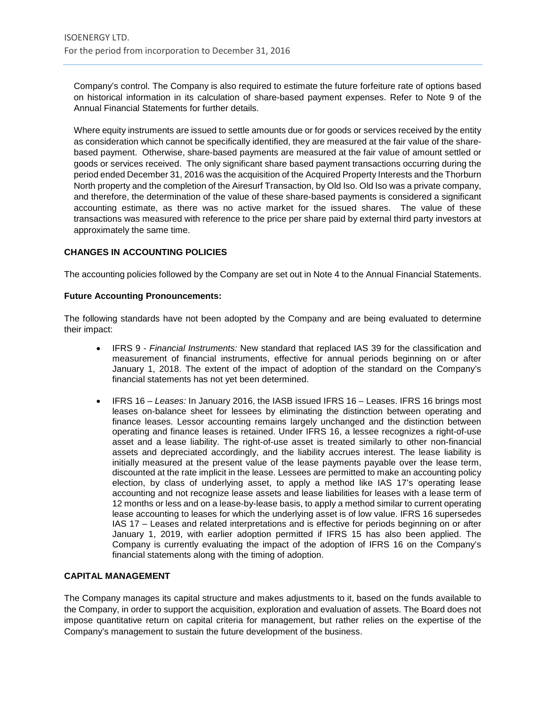Company's control. The Company is also required to estimate the future forfeiture rate of options based on historical information in its calculation of share-based payment expenses. Refer to Note 9 of the Annual Financial Statements for further details.

Where equity instruments are issued to settle amounts due or for goods or services received by the entity as consideration which cannot be specifically identified, they are measured at the fair value of the sharebased payment. Otherwise, share-based payments are measured at the fair value of amount settled or goods or services received. The only significant share based payment transactions occurring during the period ended December 31, 2016 was the acquisition of the Acquired Property Interests and the Thorburn North property and the completion of the Airesurf Transaction, by Old Iso. Old Iso was a private company, and therefore, the determination of the value of these share-based payments is considered a significant accounting estimate, as there was no active market for the issued shares. The value of these transactions was measured with reference to the price per share paid by external third party investors at approximately the same time.

# **CHANGES IN ACCOUNTING POLICIES**

The accounting policies followed by the Company are set out in Note 4 to the Annual Financial Statements.

#### **Future Accounting Pronouncements:**

The following standards have not been adopted by the Company and are being evaluated to determine their impact:

- IFRS 9 *Financial Instruments:* New standard that replaced IAS 39 for the classification and measurement of financial instruments, effective for annual periods beginning on or after January 1, 2018. The extent of the impact of adoption of the standard on the Company's financial statements has not yet been determined.
- IFRS 16 *Leases:* In January 2016, the IASB issued IFRS 16 Leases. IFRS 16 brings most leases on-balance sheet for lessees by eliminating the distinction between operating and finance leases. Lessor accounting remains largely unchanged and the distinction between operating and finance leases is retained. Under IFRS 16, a lessee recognizes a right-of-use asset and a lease liability. The right-of-use asset is treated similarly to other non-financial assets and depreciated accordingly, and the liability accrues interest. The lease liability is initially measured at the present value of the lease payments payable over the lease term, discounted at the rate implicit in the lease. Lessees are permitted to make an accounting policy election, by class of underlying asset, to apply a method like IAS 17's operating lease accounting and not recognize lease assets and lease liabilities for leases with a lease term of 12 months or less and on a lease-by-lease basis, to apply a method similar to current operating lease accounting to leases for which the underlying asset is of low value. IFRS 16 supersedes IAS 17 – Leases and related interpretations and is effective for periods beginning on or after January 1, 2019, with earlier adoption permitted if IFRS 15 has also been applied. The Company is currently evaluating the impact of the adoption of IFRS 16 on the Company's financial statements along with the timing of adoption.

# **CAPITAL MANAGEMENT**

The Company manages its capital structure and makes adjustments to it, based on the funds available to the Company, in order to support the acquisition, exploration and evaluation of assets. The Board does not impose quantitative return on capital criteria for management, but rather relies on the expertise of the Company's management to sustain the future development of the business.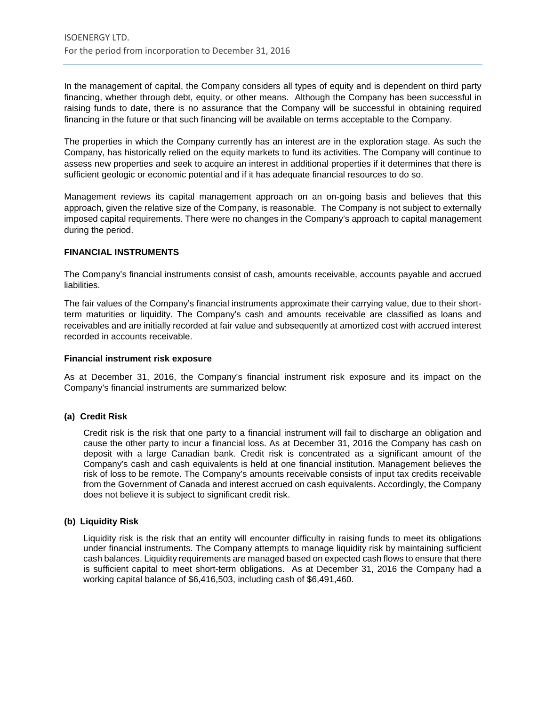In the management of capital, the Company considers all types of equity and is dependent on third party financing, whether through debt, equity, or other means. Although the Company has been successful in raising funds to date, there is no assurance that the Company will be successful in obtaining required financing in the future or that such financing will be available on terms acceptable to the Company.

The properties in which the Company currently has an interest are in the exploration stage. As such the Company, has historically relied on the equity markets to fund its activities. The Company will continue to assess new properties and seek to acquire an interest in additional properties if it determines that there is sufficient geologic or economic potential and if it has adequate financial resources to do so.

Management reviews its capital management approach on an on-going basis and believes that this approach, given the relative size of the Company, is reasonable. The Company is not subject to externally imposed capital requirements. There were no changes in the Company's approach to capital management during the period.

#### **FINANCIAL INSTRUMENTS**

The Company's financial instruments consist of cash, amounts receivable, accounts payable and accrued liabilities.

The fair values of the Company's financial instruments approximate their carrying value, due to their shortterm maturities or liquidity. The Company's cash and amounts receivable are classified as loans and receivables and are initially recorded at fair value and subsequently at amortized cost with accrued interest recorded in accounts receivable.

#### **Financial instrument risk exposure**

As at December 31, 2016, the Company's financial instrument risk exposure and its impact on the Company's financial instruments are summarized below:

#### **(a) Credit Risk**

Credit risk is the risk that one party to a financial instrument will fail to discharge an obligation and cause the other party to incur a financial loss. As at December 31, 2016 the Company has cash on deposit with a large Canadian bank. Credit risk is concentrated as a significant amount of the Company's cash and cash equivalents is held at one financial institution. Management believes the risk of loss to be remote. The Company's amounts receivable consists of input tax credits receivable from the Government of Canada and interest accrued on cash equivalents. Accordingly, the Company does not believe it is subject to significant credit risk.

#### **(b) Liquidity Risk**

Liquidity risk is the risk that an entity will encounter difficulty in raising funds to meet its obligations under financial instruments. The Company attempts to manage liquidity risk by maintaining sufficient cash balances. Liquidity requirements are managed based on expected cash flows to ensure that there is sufficient capital to meet short-term obligations. As at December 31, 2016 the Company had a working capital balance of \$6,416,503, including cash of \$6,491,460.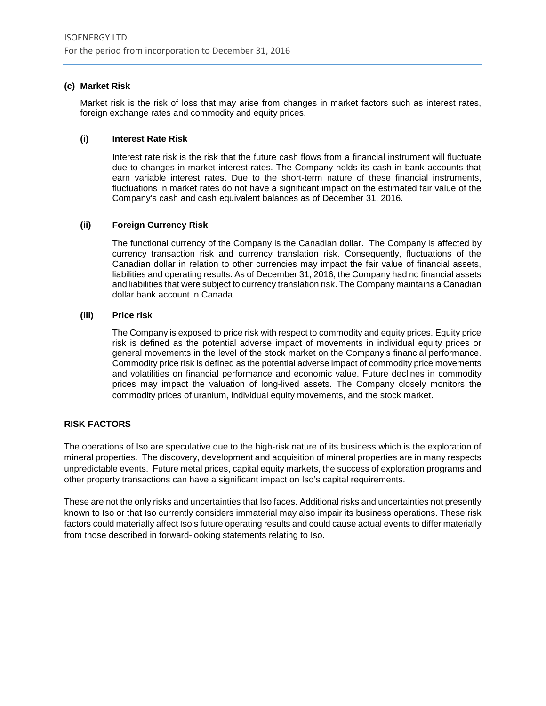# **(c) Market Risk**

Market risk is the risk of loss that may arise from changes in market factors such as interest rates, foreign exchange rates and commodity and equity prices.

#### **(i) Interest Rate Risk**

Interest rate risk is the risk that the future cash flows from a financial instrument will fluctuate due to changes in market interest rates. The Company holds its cash in bank accounts that earn variable interest rates. Due to the short-term nature of these financial instruments, fluctuations in market rates do not have a significant impact on the estimated fair value of the Company's cash and cash equivalent balances as of December 31, 2016.

# **(ii) Foreign Currency Risk**

The functional currency of the Company is the Canadian dollar. The Company is affected by currency transaction risk and currency translation risk. Consequently, fluctuations of the Canadian dollar in relation to other currencies may impact the fair value of financial assets, liabilities and operating results. As of December 31, 2016, the Company had no financial assets and liabilities that were subject to currency translation risk. The Company maintains a Canadian dollar bank account in Canada.

# **(iii) Price risk**

The Company is exposed to price risk with respect to commodity and equity prices. Equity price risk is defined as the potential adverse impact of movements in individual equity prices or general movements in the level of the stock market on the Company's financial performance. Commodity price risk is defined as the potential adverse impact of commodity price movements and volatilities on financial performance and economic value. Future declines in commodity prices may impact the valuation of long-lived assets. The Company closely monitors the commodity prices of uranium, individual equity movements, and the stock market.

# **RISK FACTORS**

The operations of Iso are speculative due to the high-risk nature of its business which is the exploration of mineral properties. The discovery, development and acquisition of mineral properties are in many respects unpredictable events. Future metal prices, capital equity markets, the success of exploration programs and other property transactions can have a significant impact on Iso's capital requirements.

These are not the only risks and uncertainties that Iso faces. Additional risks and uncertainties not presently known to Iso or that Iso currently considers immaterial may also impair its business operations. These risk factors could materially affect Iso's future operating results and could cause actual events to differ materially from those described in forward-looking statements relating to Iso.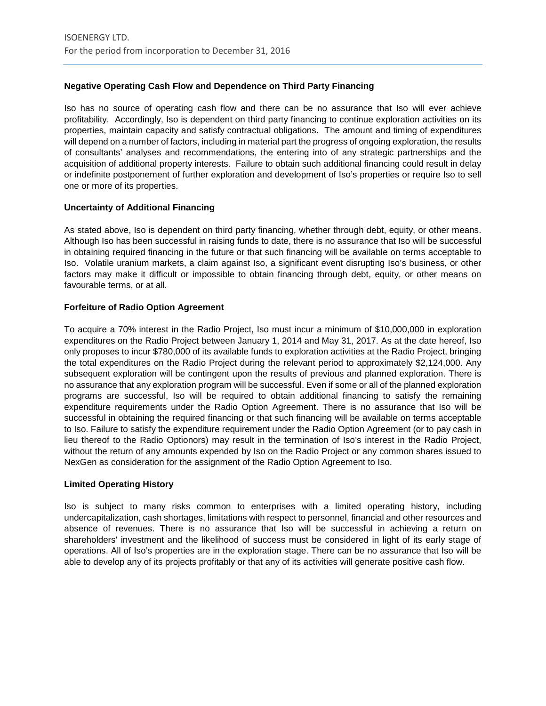# **Negative Operating Cash Flow and Dependence on Third Party Financing**

Iso has no source of operating cash flow and there can be no assurance that Iso will ever achieve profitability. Accordingly, Iso is dependent on third party financing to continue exploration activities on its properties, maintain capacity and satisfy contractual obligations. The amount and timing of expenditures will depend on a number of factors, including in material part the progress of ongoing exploration, the results of consultants' analyses and recommendations, the entering into of any strategic partnerships and the acquisition of additional property interests. Failure to obtain such additional financing could result in delay or indefinite postponement of further exploration and development of Iso's properties or require Iso to sell one or more of its properties.

# **Uncertainty of Additional Financing**

As stated above, Iso is dependent on third party financing, whether through debt, equity, or other means. Although Iso has been successful in raising funds to date, there is no assurance that Iso will be successful in obtaining required financing in the future or that such financing will be available on terms acceptable to Iso. Volatile uranium markets, a claim against Iso, a significant event disrupting Iso's business, or other factors may make it difficult or impossible to obtain financing through debt, equity, or other means on favourable terms, or at all.

# **Forfeiture of Radio Option Agreement**

To acquire a 70% interest in the Radio Project, Iso must incur a minimum of \$10,000,000 in exploration expenditures on the Radio Project between January 1, 2014 and May 31, 2017. As at the date hereof, Iso only proposes to incur \$780,000 of its available funds to exploration activities at the Radio Project, bringing the total expenditures on the Radio Project during the relevant period to approximately \$2,124,000. Any subsequent exploration will be contingent upon the results of previous and planned exploration. There is no assurance that any exploration program will be successful. Even if some or all of the planned exploration programs are successful, Iso will be required to obtain additional financing to satisfy the remaining expenditure requirements under the Radio Option Agreement. There is no assurance that Iso will be successful in obtaining the required financing or that such financing will be available on terms acceptable to Iso. Failure to satisfy the expenditure requirement under the Radio Option Agreement (or to pay cash in lieu thereof to the Radio Optionors) may result in the termination of Iso's interest in the Radio Project, without the return of any amounts expended by Iso on the Radio Project or any common shares issued to NexGen as consideration for the assignment of the Radio Option Agreement to Iso.

# **Limited Operating History**

Iso is subject to many risks common to enterprises with a limited operating history, including undercapitalization, cash shortages, limitations with respect to personnel, financial and other resources and absence of revenues. There is no assurance that Iso will be successful in achieving a return on shareholders' investment and the likelihood of success must be considered in light of its early stage of operations. All of Iso's properties are in the exploration stage. There can be no assurance that Iso will be able to develop any of its projects profitably or that any of its activities will generate positive cash flow.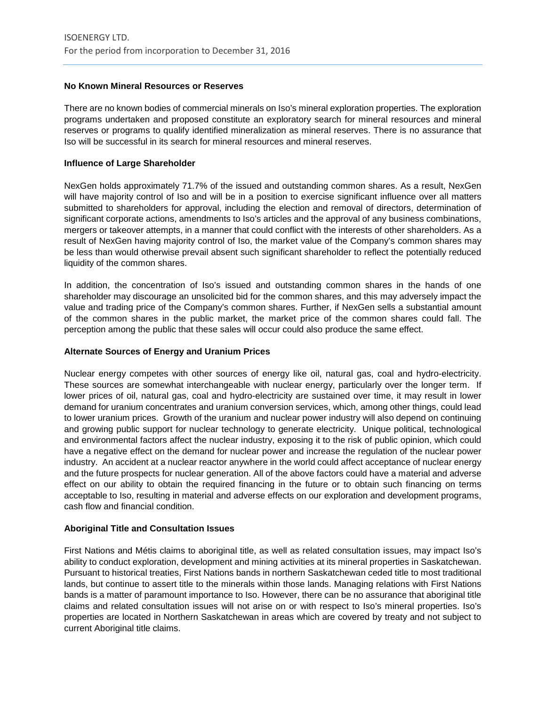# **No Known Mineral Resources or Reserves**

There are no known bodies of commercial minerals on Iso's mineral exploration properties. The exploration programs undertaken and proposed constitute an exploratory search for mineral resources and mineral reserves or programs to qualify identified mineralization as mineral reserves. There is no assurance that Iso will be successful in its search for mineral resources and mineral reserves.

#### **Influence of Large Shareholder**

NexGen holds approximately 71.7% of the issued and outstanding common shares. As a result, NexGen will have majority control of Iso and will be in a position to exercise significant influence over all matters submitted to shareholders for approval, including the election and removal of directors, determination of significant corporate actions, amendments to Iso's articles and the approval of any business combinations, mergers or takeover attempts, in a manner that could conflict with the interests of other shareholders. As a result of NexGen having majority control of Iso, the market value of the Company's common shares may be less than would otherwise prevail absent such significant shareholder to reflect the potentially reduced liquidity of the common shares.

In addition, the concentration of Iso's issued and outstanding common shares in the hands of one shareholder may discourage an unsolicited bid for the common shares, and this may adversely impact the value and trading price of the Company's common shares. Further, if NexGen sells a substantial amount of the common shares in the public market, the market price of the common shares could fall. The perception among the public that these sales will occur could also produce the same effect.

#### **Alternate Sources of Energy and Uranium Prices**

Nuclear energy competes with other sources of energy like oil, natural gas, coal and hydro-electricity. These sources are somewhat interchangeable with nuclear energy, particularly over the longer term. If lower prices of oil, natural gas, coal and hydro-electricity are sustained over time, it may result in lower demand for uranium concentrates and uranium conversion services, which, among other things, could lead to lower uranium prices. Growth of the uranium and nuclear power industry will also depend on continuing and growing public support for nuclear technology to generate electricity. Unique political, technological and environmental factors affect the nuclear industry, exposing it to the risk of public opinion, which could have a negative effect on the demand for nuclear power and increase the regulation of the nuclear power industry. An accident at a nuclear reactor anywhere in the world could affect acceptance of nuclear energy and the future prospects for nuclear generation. All of the above factors could have a material and adverse effect on our ability to obtain the required financing in the future or to obtain such financing on terms acceptable to Iso, resulting in material and adverse effects on our exploration and development programs, cash flow and financial condition.

#### **Aboriginal Title and Consultation Issues**

First Nations and Métis claims to aboriginal title, as well as related consultation issues, may impact Iso's ability to conduct exploration, development and mining activities at its mineral properties in Saskatchewan. Pursuant to historical treaties, First Nations bands in northern Saskatchewan ceded title to most traditional lands, but continue to assert title to the minerals within those lands. Managing relations with First Nations bands is a matter of paramount importance to Iso. However, there can be no assurance that aboriginal title claims and related consultation issues will not arise on or with respect to Iso's mineral properties. Iso's properties are located in Northern Saskatchewan in areas which are covered by treaty and not subject to current Aboriginal title claims.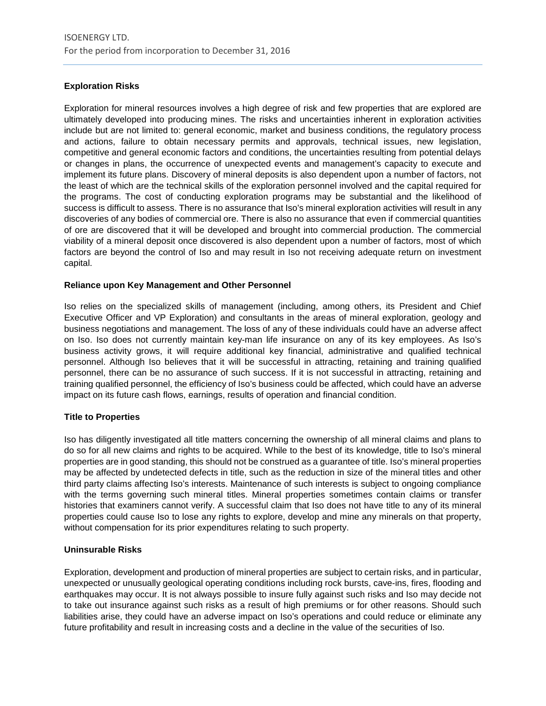# **Exploration Risks**

Exploration for mineral resources involves a high degree of risk and few properties that are explored are ultimately developed into producing mines. The risks and uncertainties inherent in exploration activities include but are not limited to: general economic, market and business conditions, the regulatory process and actions, failure to obtain necessary permits and approvals, technical issues, new legislation, competitive and general economic factors and conditions, the uncertainties resulting from potential delays or changes in plans, the occurrence of unexpected events and management's capacity to execute and implement its future plans. Discovery of mineral deposits is also dependent upon a number of factors, not the least of which are the technical skills of the exploration personnel involved and the capital required for the programs. The cost of conducting exploration programs may be substantial and the likelihood of success is difficult to assess. There is no assurance that Iso's mineral exploration activities will result in any discoveries of any bodies of commercial ore. There is also no assurance that even if commercial quantities of ore are discovered that it will be developed and brought into commercial production. The commercial viability of a mineral deposit once discovered is also dependent upon a number of factors, most of which factors are beyond the control of Iso and may result in Iso not receiving adequate return on investment capital.

# **Reliance upon Key Management and Other Personnel**

Iso relies on the specialized skills of management (including, among others, its President and Chief Executive Officer and VP Exploration) and consultants in the areas of mineral exploration, geology and business negotiations and management. The loss of any of these individuals could have an adverse affect on Iso. Iso does not currently maintain key-man life insurance on any of its key employees. As Iso's business activity grows, it will require additional key financial, administrative and qualified technical personnel. Although Iso believes that it will be successful in attracting, retaining and training qualified personnel, there can be no assurance of such success. If it is not successful in attracting, retaining and training qualified personnel, the efficiency of Iso's business could be affected, which could have an adverse impact on its future cash flows, earnings, results of operation and financial condition.

#### **Title to Properties**

Iso has diligently investigated all title matters concerning the ownership of all mineral claims and plans to do so for all new claims and rights to be acquired. While to the best of its knowledge, title to Iso's mineral properties are in good standing, this should not be construed as a guarantee of title. Iso's mineral properties may be affected by undetected defects in title, such as the reduction in size of the mineral titles and other third party claims affecting Iso's interests. Maintenance of such interests is subject to ongoing compliance with the terms governing such mineral titles. Mineral properties sometimes contain claims or transfer histories that examiners cannot verify. A successful claim that Iso does not have title to any of its mineral properties could cause Iso to lose any rights to explore, develop and mine any minerals on that property, without compensation for its prior expenditures relating to such property.

# **Uninsurable Risks**

Exploration, development and production of mineral properties are subject to certain risks, and in particular, unexpected or unusually geological operating conditions including rock bursts, cave-ins, fires, flooding and earthquakes may occur. It is not always possible to insure fully against such risks and Iso may decide not to take out insurance against such risks as a result of high premiums or for other reasons. Should such liabilities arise, they could have an adverse impact on Iso's operations and could reduce or eliminate any future profitability and result in increasing costs and a decline in the value of the securities of Iso.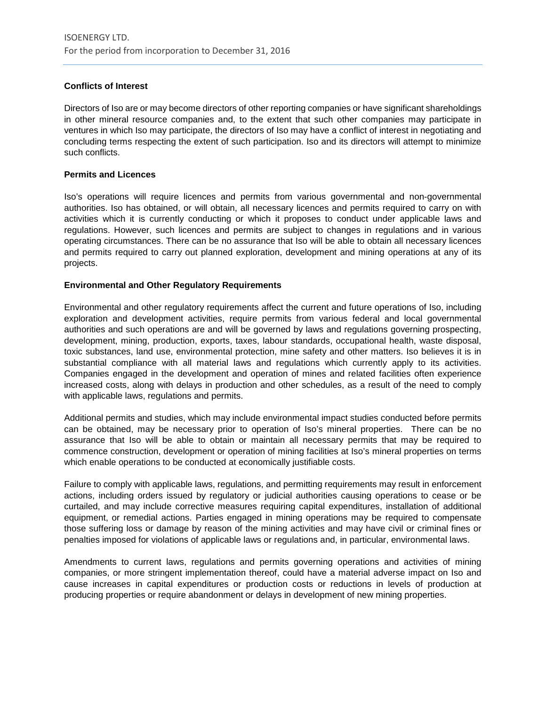# **Conflicts of Interest**

Directors of Iso are or may become directors of other reporting companies or have significant shareholdings in other mineral resource companies and, to the extent that such other companies may participate in ventures in which Iso may participate, the directors of Iso may have a conflict of interest in negotiating and concluding terms respecting the extent of such participation. Iso and its directors will attempt to minimize such conflicts.

#### **Permits and Licences**

Iso's operations will require licences and permits from various governmental and non-governmental authorities. Iso has obtained, or will obtain, all necessary licences and permits required to carry on with activities which it is currently conducting or which it proposes to conduct under applicable laws and regulations. However, such licences and permits are subject to changes in regulations and in various operating circumstances. There can be no assurance that Iso will be able to obtain all necessary licences and permits required to carry out planned exploration, development and mining operations at any of its projects.

# **Environmental and Other Regulatory Requirements**

Environmental and other regulatory requirements affect the current and future operations of Iso, including exploration and development activities, require permits from various federal and local governmental authorities and such operations are and will be governed by laws and regulations governing prospecting, development, mining, production, exports, taxes, labour standards, occupational health, waste disposal, toxic substances, land use, environmental protection, mine safety and other matters. Iso believes it is in substantial compliance with all material laws and regulations which currently apply to its activities. Companies engaged in the development and operation of mines and related facilities often experience increased costs, along with delays in production and other schedules, as a result of the need to comply with applicable laws, regulations and permits.

Additional permits and studies, which may include environmental impact studies conducted before permits can be obtained, may be necessary prior to operation of Iso's mineral properties. There can be no assurance that Iso will be able to obtain or maintain all necessary permits that may be required to commence construction, development or operation of mining facilities at Iso's mineral properties on terms which enable operations to be conducted at economically justifiable costs.

Failure to comply with applicable laws, regulations, and permitting requirements may result in enforcement actions, including orders issued by regulatory or judicial authorities causing operations to cease or be curtailed, and may include corrective measures requiring capital expenditures, installation of additional equipment, or remedial actions. Parties engaged in mining operations may be required to compensate those suffering loss or damage by reason of the mining activities and may have civil or criminal fines or penalties imposed for violations of applicable laws or regulations and, in particular, environmental laws.

Amendments to current laws, regulations and permits governing operations and activities of mining companies, or more stringent implementation thereof, could have a material adverse impact on Iso and cause increases in capital expenditures or production costs or reductions in levels of production at producing properties or require abandonment or delays in development of new mining properties.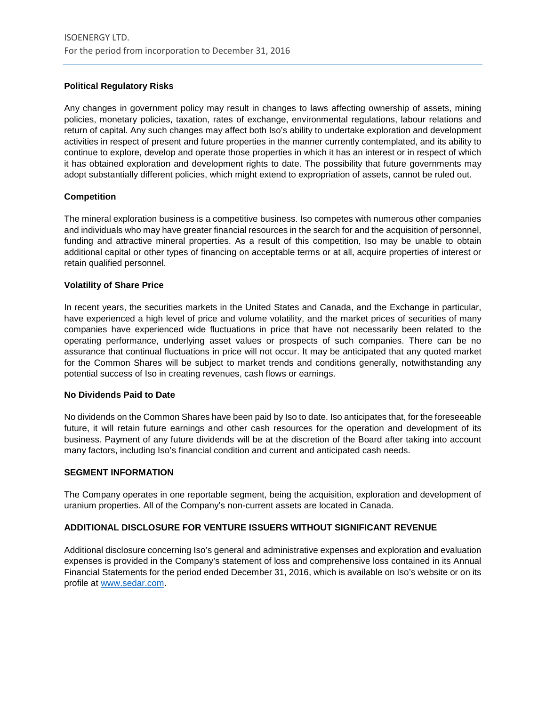# **Political Regulatory Risks**

Any changes in government policy may result in changes to laws affecting ownership of assets, mining policies, monetary policies, taxation, rates of exchange, environmental regulations, labour relations and return of capital. Any such changes may affect both Iso's ability to undertake exploration and development activities in respect of present and future properties in the manner currently contemplated, and its ability to continue to explore, develop and operate those properties in which it has an interest or in respect of which it has obtained exploration and development rights to date. The possibility that future governments may adopt substantially different policies, which might extend to expropriation of assets, cannot be ruled out.

# **Competition**

The mineral exploration business is a competitive business. Iso competes with numerous other companies and individuals who may have greater financial resources in the search for and the acquisition of personnel, funding and attractive mineral properties. As a result of this competition, Iso may be unable to obtain additional capital or other types of financing on acceptable terms or at all, acquire properties of interest or retain qualified personnel.

#### **Volatility of Share Price**

In recent years, the securities markets in the United States and Canada, and the Exchange in particular, have experienced a high level of price and volume volatility, and the market prices of securities of many companies have experienced wide fluctuations in price that have not necessarily been related to the operating performance, underlying asset values or prospects of such companies. There can be no assurance that continual fluctuations in price will not occur. It may be anticipated that any quoted market for the Common Shares will be subject to market trends and conditions generally, notwithstanding any potential success of Iso in creating revenues, cash flows or earnings.

#### **No Dividends Paid to Date**

No dividends on the Common Shares have been paid by Iso to date. Iso anticipates that, for the foreseeable future, it will retain future earnings and other cash resources for the operation and development of its business. Payment of any future dividends will be at the discretion of the Board after taking into account many factors, including Iso's financial condition and current and anticipated cash needs.

#### **SEGMENT INFORMATION**

The Company operates in one reportable segment, being the acquisition, exploration and development of uranium properties. All of the Company's non-current assets are located in Canada.

#### **ADDITIONAL DISCLOSURE FOR VENTURE ISSUERS WITHOUT SIGNIFICANT REVENUE**

Additional disclosure concerning Iso's general and administrative expenses and exploration and evaluation expenses is provided in the Company's statement of loss and comprehensive loss contained in its Annual Financial Statements for the period ended December 31, 2016, which is available on Iso's website or on its profile at [www.sedar.com.](http://www.sedar.com/)